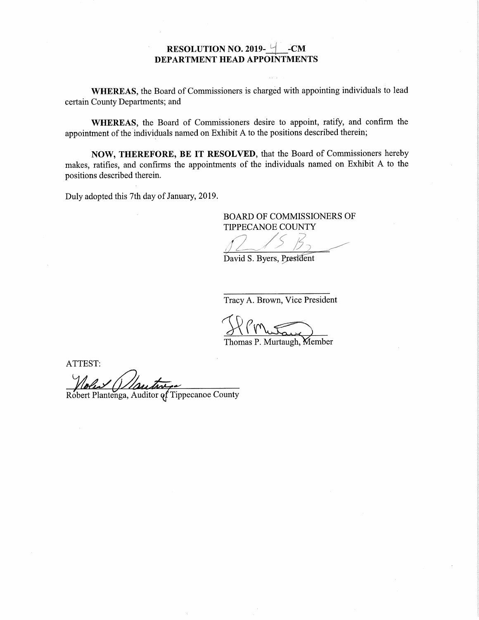## RESOLUTION NO. 2019- $\forall$  -CM DEPARTMENT HEAD APPOINTMENTS

WHEREAS, the Board of Commissioners is charged with appointing individuals to lead certain County Departments; and

WHEREAS, the Board Of Commissioners desire to appoint, ratify, and confirm the appointment of the individuals named on Exhibit <sup>A</sup> to the positions described therein;

NOW, THEREFORE, BE IT RESOLVED, that the Board of Commissioners hereby makes, ratifies, and confirms the appointments of the individuals named on Exhibit <sup>A</sup> to the positions described therein.

Duly adopted this 7th day of January, 2019.

BOARD OF COMMISSIONERS OF TIPPECANOE COUNTY

W ,,,,,,,,,,,,,  $\sim$   $\sim$   $\sim$   $\sim$  $\qquad \qquad \bullet$  ,  $\qquad \bullet$  ,  $\qquad \bullet$ f  $\sim$   $\sim$   $\sim$   $\sim$   $\sim$   $\sim$ , it is a contract to the first state of the first state of the first state of the  $\mathcal{U}$ s: ,<sup>f</sup> ,, ,<sup>1</sup> rrrrrrrrrrrrrr ,,,,,,,,,,,,,, <sup>m</sup>" 4' <sup>=</sup> ''''. <sup>w</sup>iiiiiii ,,,,,, ,0 MM" r m , MS" AJOVQHLA'HKmmmmmm  $\overline{\phantom{a}}$  . We say that  $\overline{\phantom{a}}$ 

\_;.J A»

Tracy A. Brown, Vice President

Thomas P. Murtaugh, Member

ATTEST:

Robert Plantenga, Auditor of Tippecanoe County